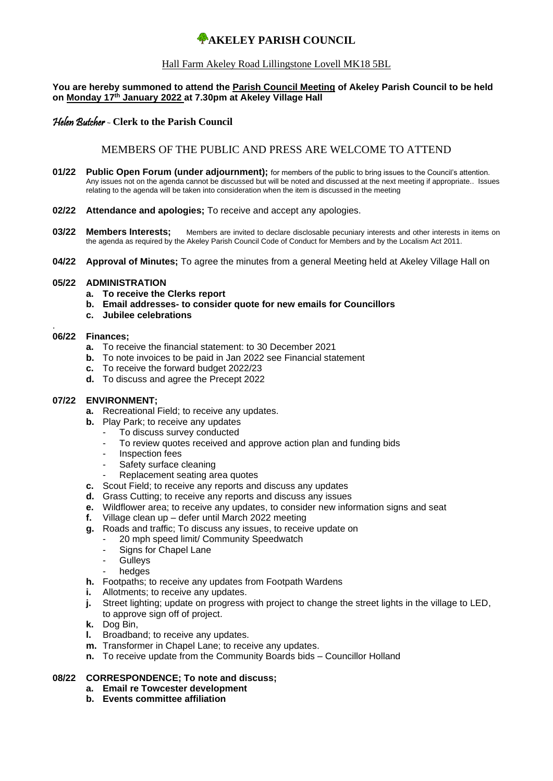# **WAKELEY PARISH COUNCIL**

## Hall Farm Akeley Road Lillingstone Lovell MK18 5BL

#### **You are hereby summoned to attend the Parish Council Meeting of Akeley Parish Council to be held on Monday 17 th January 2022 at 7.30pm at Akeley Village Hall**

## Helen Butcher - **Clerk to the Parish Council**

# MEMBERS OF THE PUBLIC AND PRESS ARE WELCOME TO ATTEND

- **01/22 Public Open Forum (under adjournment);** for members of the public to bring issues to the Council's attention. Any issues not on the agenda cannot be discussed but will be noted and discussed at the next meeting if appropriate.. Issues relating to the agenda will be taken into consideration when the item is discussed in the meeting
- **02/22 Attendance and apologies;** To receive and accept any apologies.
- **03/22 Members Interests:** Members are invited to declare disclosable pecuniary interests and other interests in items on the agenda as required by the Akeley Parish Council Code of Conduct for Members and by the Localism Act 2011.
- **04/22 Approval of Minutes;** To agree the minutes from a general Meeting held at Akeley Village Hall on

#### **05/22 ADMINISTRATION**

- **a. To receive the Clerks report**
- **b. Email addresses- to consider quote for new emails for Councillors**
- **c. Jubilee celebrations**

#### . **06/22 Finances;**

- **a.** To receive the financial statement: to 30 December 2021
- **b.** To note invoices to be paid in Jan 2022 see Financial statement
- **c.** To receive the forward budget 2022/23
- **d.** To discuss and agree the Precept 2022

# **07/22 ENVIRONMENT;**

- **a.** Recreational Field; to receive any updates.
- **b.** Play Park; to receive any updates
	- To discuss survey conducted
	- To review quotes received and approve action plan and funding bids
	- Inspection fees
	- Safety surface cleaning
	- Replacement seating area quotes
- **c.** Scout Field; to receive any reports and discuss any updates
- **d.** Grass Cutting; to receive any reports and discuss any issues
- **e.** Wildflower area; to receive any updates, to consider new information signs and seat
- **f.** Village clean up defer until March 2022 meeting
- **g.** Roads and traffic; To discuss any issues, to receive update on
	- 20 mph speed limit/ Community Speedwatch
		- Signs for Chapel Lane
		- **Gulleys**
		- hedges
- **h.** Footpaths; to receive any updates from Footpath Wardens
- **i.** Allotments; to receive any updates.
- **j.** Street lighting; update on progress with project to change the street lights in the village to LED, to approve sign off of project.
- **k.** Dog Bin,
- **l.** Broadband; to receive any updates.
- **m.** Transformer in Chapel Lane; to receive any updates.
- **n.** To receive update from the Community Boards bids Councillor Holland

## **08/22 CORRESPONDENCE; To note and discuss;**

- **a. Email re Towcester development**
- **b. Events committee affiliation**